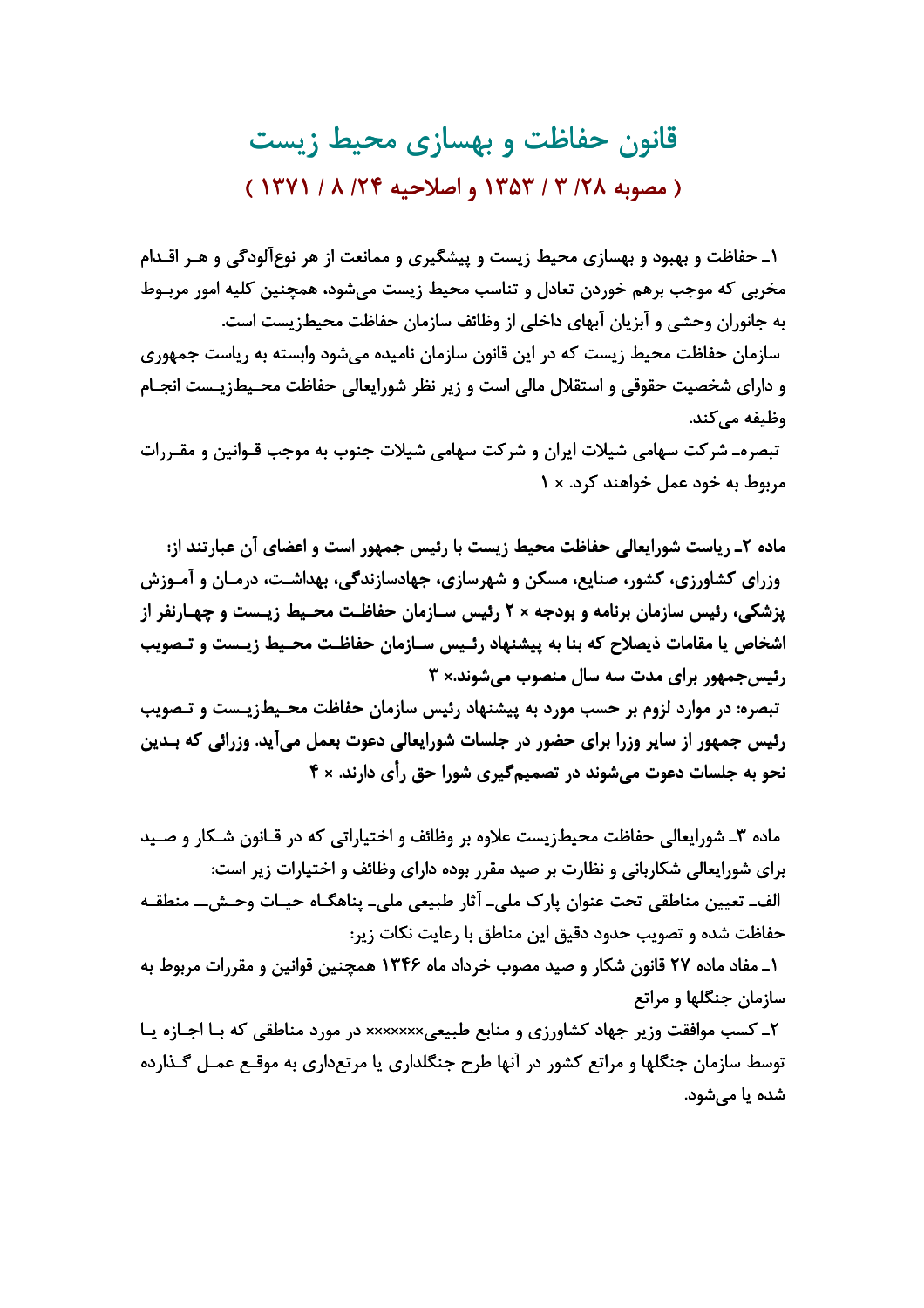قانون حفاظت و بهسازی محیط زیست ( مصوبه ١٣/٨ ٣ / ١٣٥٣ و اصلاحيه ١٣٤ / ١٣٧١ )

۱ـ حفاظت و بهبود و بهسازی محیط زیست و پیشگیری و ممانعت از هر نوع آلودگی و هـر اقـدام مخربي كه موجب برهم خوردن تعادل و تناسب محيط زيست مي شود، همچنين كليه امور مربـوط به جانوران وحشی و آبزیان آبهای داخلی از وظائف سازمان حفاظت محیطزیست است. سازمان حفاظت محیط زیست که در این قانون سازمان نامیده میشود وابسته به ریاست جمهوری و دارای شخصیت حقوقی و استقلال مالی است و زیر نظر شورایعالی حفاظت محـیطـزیــست انجــام وظیفه مے کند.

تبصره\_ شركت سهامي شيلات ايران و شركت سهامي شيلات جنوب به موجب قـوانين و مقـررات مربوط به خود عمل خواهند کرد. × ١

ماده ۲ـ رياست شورايعالي حفاظت محيط زيست با رئيس جمهور است و اعضاى آن عبارتند از: وزرای کشاورزی، کشور، صنایع، مسکن و شهرسازی، جهادسازندگی، بهداشت، درمـان و آمـوزش پزشکی، رئیس سازمان برنامه و بودجه × ۲ رئیس سـازمان حفاظـت محـیط زیـست و چهـارنفر از اشخاص یا مقامات ذیصلاح که بنا به پیشنهاد رئـیس سـازمان حفاظـت محـیط زیـست و تـصویب رئیس جمهور برای مدت سه سال منصوب می شوند.× ۳ تبصره: در موارد لزوم بر حسب مورد به پیشنهاد رئیس سازمان حفاظت محـیطـزیـست و تـصویب رئیس جمهور از سایر وزرا برای حضور در جلسات شورایعالی دعوت بعمل میآید. وزرائی که بـدین نحو به جلسات دعوت میشوند در تصمیم *گ*یری شورا حق رأی دارند. × ۴

ماده ۳ـ شورايعالي حفاظت محيطزيست علاوه بر وظائف و اختياراتي كه در قــانون شــكار و صــيد برای شورایعالی شکاربانی و نظارت بر صید مقرر بوده دارای وظائف و اختیارات زیر است: الف۔ تعیین مناطقی تحت عنوان پارک ملی۔ آثار طبیعی ملی۔ پناھگـاہ حیـات وحـش\_ منطقـه حفاظت شده و تصویب حدود دقیق این مناطق با رعایت نکات زیر:

۱\_ مفاد ماده ۲۷ قانون شکار و صید مصوب خرداد ماه ۱۳۴۶ همچنین قوانین و مقررات مربوط به سازمان جنگلها و مراتع

۲ـ کسب موافقت وزیر جهاد کشاورزی و منابع طبیعیxxxxxx در مورد مناطقی که بـا اجـازه پـا توسط سازمان جنگلها و مراتع کشور در آنها طرح جنگلداری یا مرتعداری به موقـع عمـل گـذارده شدہ یا مے شود.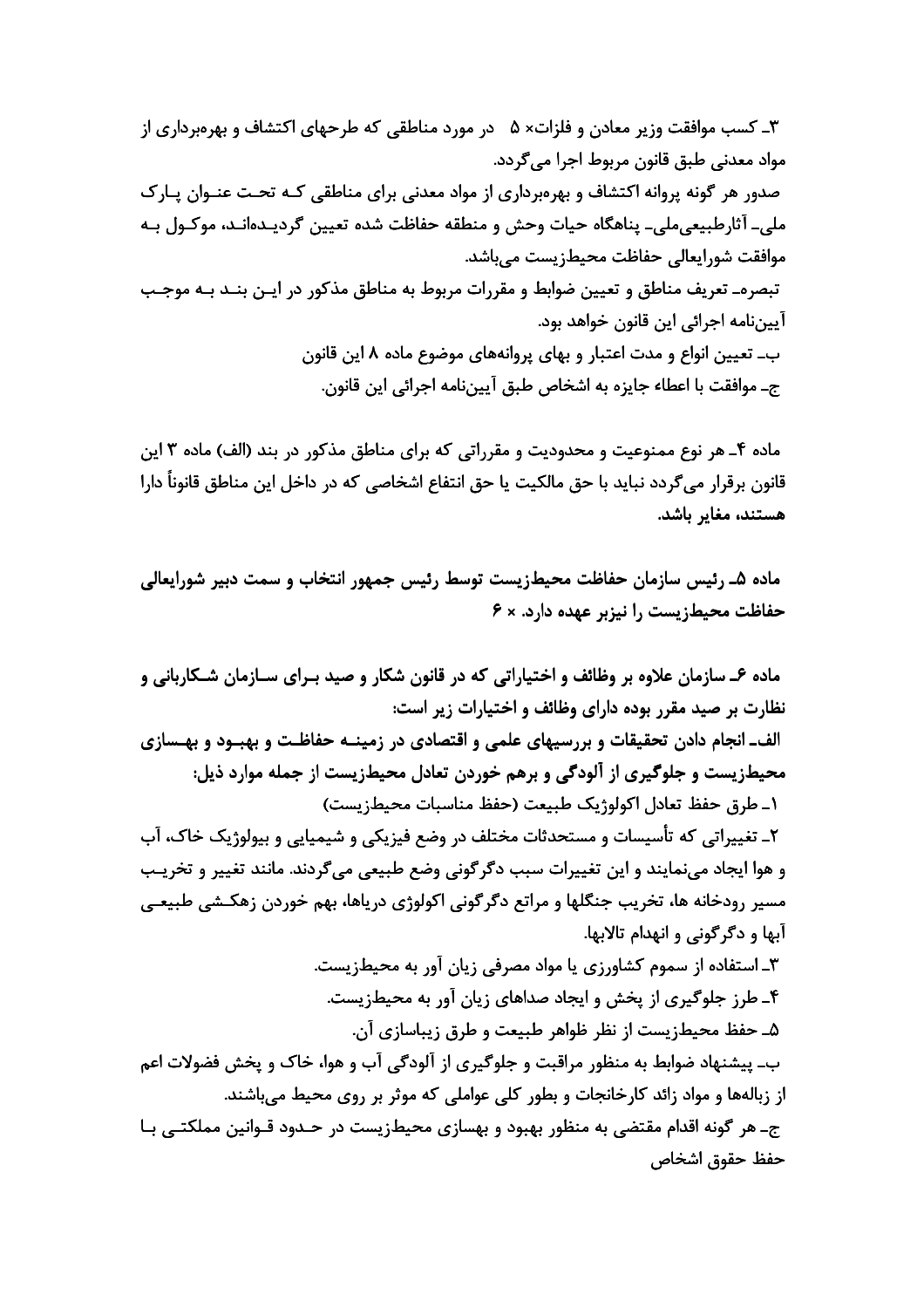۳ـ کسب موافقت وزیر معادن و فلزات× ۵ در مورد مناطقی که طرحهای اکتشاف و بهروبرداری از مواد معدني طبق قانون مربوط اجرا مي¢دد. صدور هر گونه پروانه اکتشاف و بهرهبرداری از مواد معدنی برای مناطقی کـه تحـت عنــوان پــارک ملي۔ آثارطبيعي،ملي۔ پناھگاہ حيات وحش و منطقه حفاظت شدہ تعيين گرديـدہانـد، موكـول بـه موافقت شورايعالى حفاظت محيطزيست مىباشد. تبصرهـ تعريف مناطق و تعيين ضوابط و مقررات مربوط به مناطق مذكور در ايـن بنـد بـه موجـب آييننامه اجرائي اين قانون خواهد بود. ب۔ تعیین انواع و مدت اعتبار و بھای پروانههای موضوع ماده ۸ این قانون جـ موافقت با اعطاء جايزه به اشخاص طبق آييننامه اجرائي اين قانون.

ماده ۴ـ هر نوع ممنوعیت و محدودیت و مقرراتی که برای مناطق مذکور در بند (الف) ماده ۳ این قانون برقرار می گردد نباید با حق مالکیت یا حق انتفاع اشخاصی که در داخل این مناطق قانوناً دارا هستند، مغایر باشد.

ماده ۵ـ رئيس سازمان حفاظت محيطزيست توسط رئيس جمهور انتخاب و سمت دبير شورايعالي حفاظت محیطزیست را نیزبر عهده دارد. × ۶

ماده ۶ـ سازمان علاوه بر وظائف و اختیاراتی که در قانون شکار و صید بـرای سـازمان شـکاربانی و نظارت بر صید مقرر بوده دارای وظائف و اختیارات زیر است: الف\_انجام دادن تحقیقات و بررسیهای علمی و اقتصادی در زمینــه حفاظـت و بهبـود و بهـسازی محیطزیست و جلوگیری از آلودگی و برهم خوردن تعادل محیطزیست از جمله موارد ذیل: ١ـ طرق حفظ تعادل اكولوژيک طبيعت (حفظ مناسبات محيطزيست) ۲ـ تغییراتی که تأسیسات و مستحدثات مختلف در وضع فیزیکی و شیمیایی و بیولوژیک خاک، آب و هوا ایجاد مینمایند و این تغییرات سبب دگرگونی وضع طبیعی میگردند. مانند تغییر و تخریـب مسیر رودخانه ها، تخریب جنگلها و مراتع دگرگونی اکولوژی دریاها، بهم خوردن زهکـشی طبیعـی آبها و دگرگونی و انهدام تالابها. ۳ـ استفاده از سموم کشاورزی یا مواد مصرفی زیان آور به محیطزیست. ۴ـ طرز جلوگیری از پخش و ایجاد صداهای زیان آور به محیطزیست. ۵ـ حفظ محیطزیست از نظر ظواهر طبیعت و طرق زیباسازی آن. ب۔ پیشنهاد ضوابط به منظور مراقبت و جلوگیری از آلودگی آب و هوا، خاک و پخش فضولات اعم از زبالهها و مواد زائد کارخانجات و بطور کلی عواملی که موثر بر روی محیط میباشند. ج\_ هر گونه اقدام مقتضی به منظور بهبود و بهسازی محیطزیست در حـدود قـوانین مملکتـی بـا حفظ حقوق اشخاص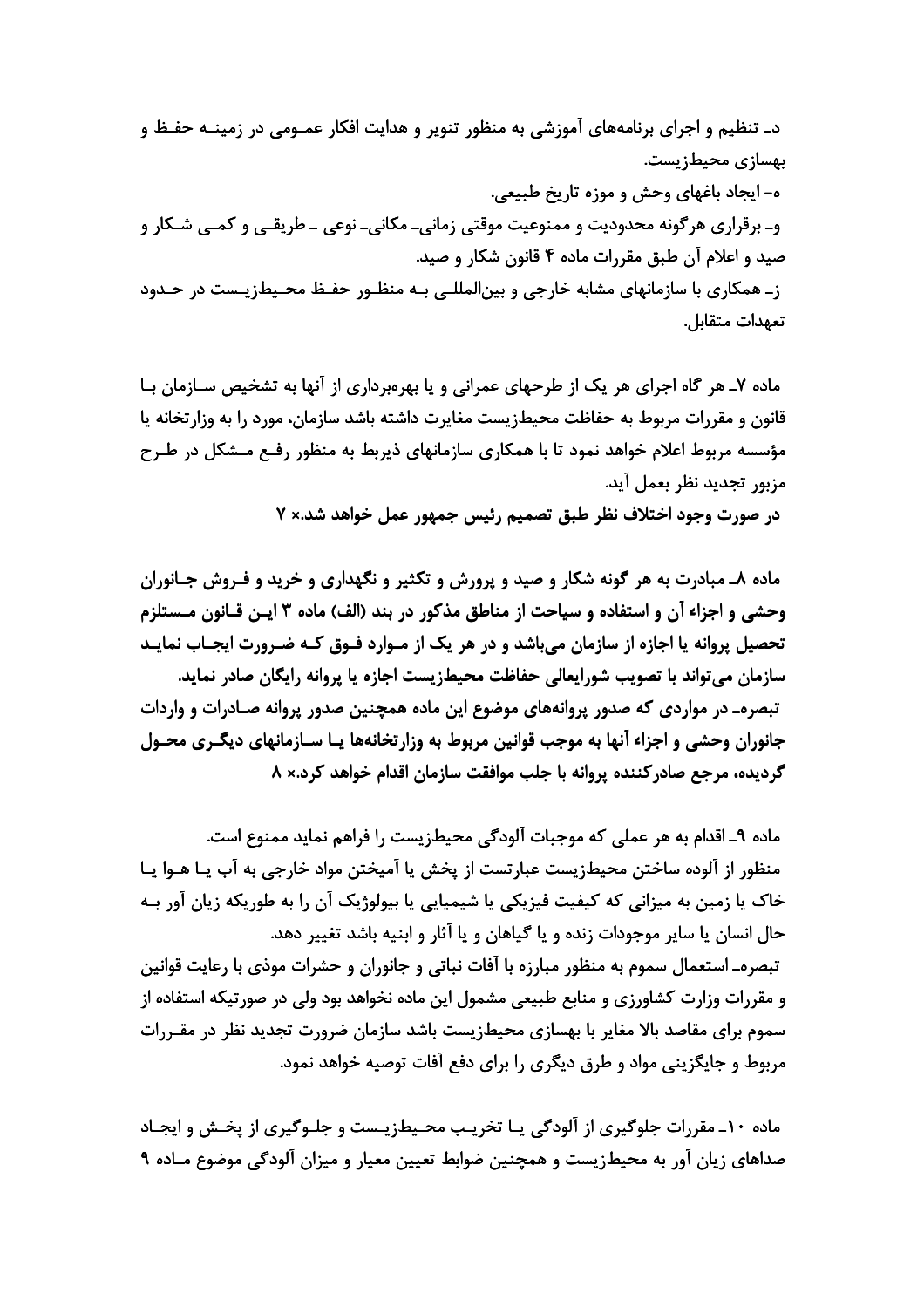د۔ تنظیم و اجرای برنامههای آموزشی به منظور تنویر و هدایت افکار عمـومے در زمینــه حفـظ و بهسازی محیطزیست. ه- ايجاد باغهاي وحش و موزه تاريخ طبيعي. و۔ برقراری هر گونه محدودیت و ممنوعیت موقتی زمانی۔ مکانی۔ نوعی ۔ طریقے و کمبی شـکار و صید و اعلام آن طبق مقررات ماده ۴ قانون شکار و صید. ز۔ همکاری با سازمانهای مشابه خارجی و بین|لمللے ،بـه منظـور حفـظ محـیطزیـست در حـدود تعهدات متقابل.

ماده ۷ـ هر گاه اجرای هر یک از طرحهای عمرانی و یا بهروبرداری از آنها به تشخیص سـازمان بـا قانون و مقررات مربوط به حفاظت محیطزیست مغایرت داشته باشد سازمان، مورد را به وزارتخانه یا مؤسسه مربوط اعلام خواهد نمود تا با همکاری سازمانهای ذیربط به منظور رفـع مـشکل در طـرح مزبور تجديد نظر بعمل آيد.

در صورت وجود اختلاف نظر طبق تصمیم رئیس جمهور عمل خواهد شد.× ۷

ماده ۸ـ مبادرت به هر گونه شکار و صید و پرورش و تکثیر و نگهداری و خرید و فـروش جـانوران وحشی و اجزاء آن و استفاده و سیاحت از مناطق مذکور در بند (الف) ماده ۳ ایـن قـانون مـستلزم تحصیل پروانه یا اجازه از سازمان میباشد و در هر یک از مـوارد فـوق کـه ضـرورت ایجـاب نمایـد سازمان مے،تواند با تصویب شورایعالی حفاظت محیطزیست اجازه یا پروانه رایگان صادر نماید. تبصرهـ در مواردی که صدور پروانههای موضوع این ماده همچنین صدور پروانه صـادرات و واردات جانوران وحشی و اجزاء آنها به موجب قوانین مربوط به وزارتخانهها یـا سـازمانهای دیگـری محـول گردیده، مرجع صادر کننده پروانه با جلب موافقت سازمان اقدام خواهد کرد.× ۸

ماده ۹\_ اقدام به هر عملي كه موجبات آلودگي محيطزيست را فراهم نمايد ممنوع است. منظور از آلوده ساختن محیطزیست عبارتست از یخش یا آمیختن مواد خارجی به آب پـا هـوا پـا خاک یا زمین به میزانی که کیفیت فیزیکی یا شیمیایی یا بیولوژیک آن را به طوریکه زیان آور بـه حال انسان يا ساير موجودات زنده و يا گياهان و يا آثار و ابنيه باشد تغيير دهد. تبصرهـ استعمال سموم به منظور مبارزه با آفات نباتی و جانوران و حشرات موذی با رعایت قوانین و مقررات وزارت کشاورزی و منابع طبیعی مشمول این ماده نخواهد بود ولی در صورتیکه استفاده از سموم برای مقاصد بالا مغایر با بهسازی محیطزیست باشد سازمان ضرورت تجدید نظر در مقـررات مربوط و جایگزینی مواد و طرق دیگری را برای دفع آفات توصیه خواهد نمود.

ماده ۱۰ـ مقررات جلوگیری از آلودگی یـا تخریـب محـیطزیـست و جلـوگیری از پخـش و ایجـاد صداهای زیان آور به محیطزیست و همچنین ضوابط تعیین معیار و میزان آلودگی موضوع مـاده ۹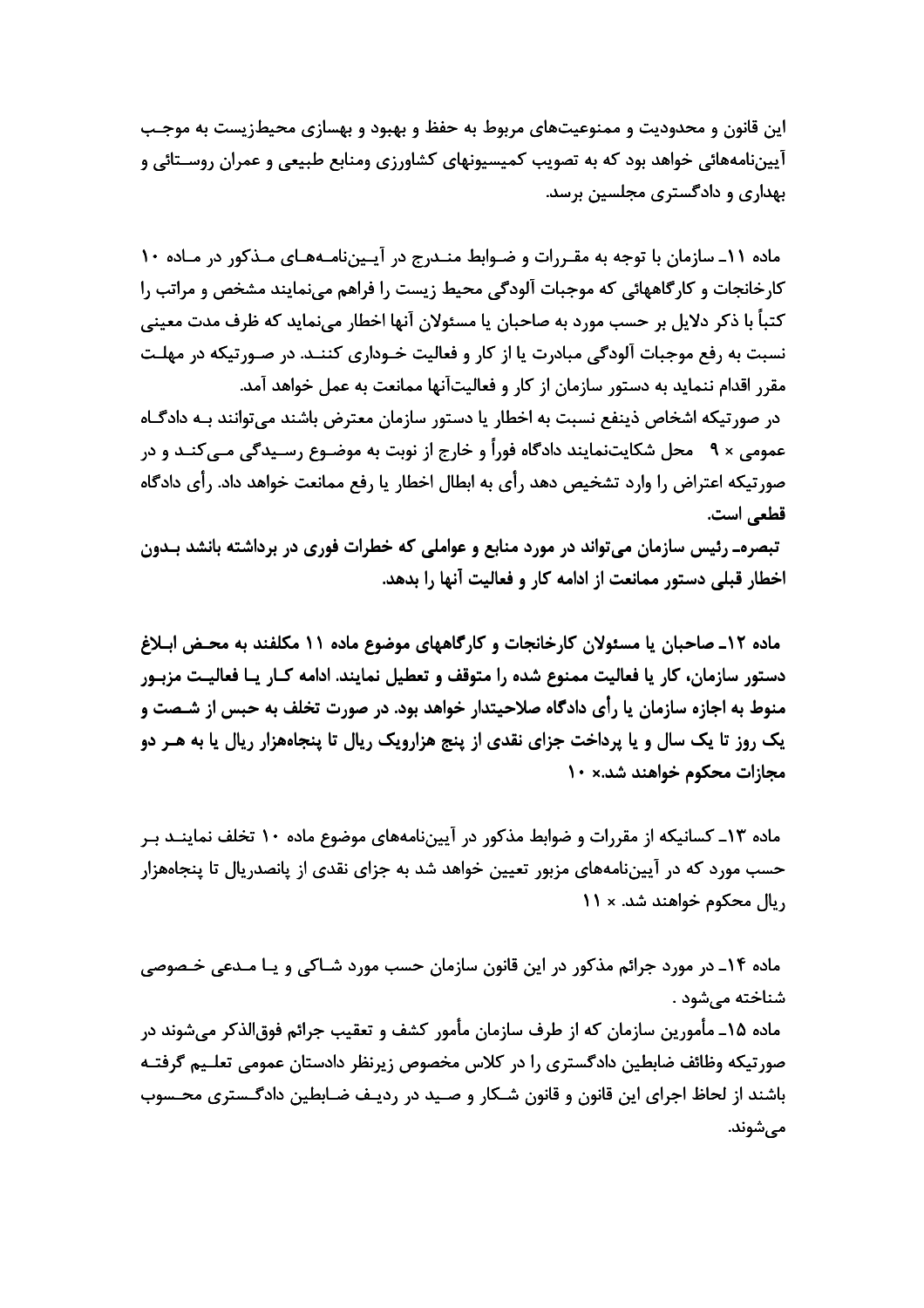این قانون و محدودیت و ممنوعیتهای مربوط به حفظ و بهبود و بهسازی محیطزیست به موجـب آییننامههائی خواهد بود که به تصویب کمیسیونهای کشاورزی ومنابع طبیعی و عمران روسـتائی و بهداری و دادگستری مجلسین برسد.

ماده ١١ـ سازمان با توجه به مقـررات و ضـوابط منـدرج در آيـيننامـههـاي مـذكور در مـاده ١٠ کارخانجات و کارگاههائی که موجبات آلودگی محیط زیست را فراهم می نمایند مشخص و مراتب را کتباً با ذکر دلایل بر حسب مورد به صاحبان یا مسئولان آنها اخطار مینماید که ظرف مدت معینی نسبت به رفع موجبات آلودگی مبادرت یا از کار و فعالیت خـوداری کننـد. در صـورتیکه در مهلـت مقرر اقدام ننماید به دستور سازمان از کار و فعالیتآنها ممانعت به عمل خواهد آمد. در صورتیکه اشخاص ذینفع نسبت به اخطار یا دستور سازمان معترض باشند میتوانند بـه دادگـاه عمومی × ٩ محل شکایتنمایند دادگاه فوراً و خارج از نوبت به موضـوع رسـیدگی مـیکنــد و در صورتیکه اعتراض را وارد تشخیص دهد رأی به ابطال اخطار یا رفع ممانعت خواهد داد. رأی دادگاه قطعي است.

تبصرهـ رئیس سازمان می¤واند در مورد منابع و عواملی که خطرات فوری در برداشته بانشد بـدون اخطار قبلی دستور ممانعت از ادامه کار و فعالیت آنها را بدهد.

ماده ١٢ـ صاحبان يا مسئولان كارخانجات و كارگاههاى موضوع ماده ١١ مكلفند به محـض ابـلاغ دستور سازمان، کار یا فعالیت ممنوع شده را متوقف و تعطیل نمایند. ادامه کـار یـا فعالیـت مزبـور منوط به اجازه سازمان یا رأی دادگاه صلاحیتدار خواهد بود. در صورت تخلف به حبس از شـصت و یک روز تا یک سال و یا پرداخت جزای نقدی از پنج هزارویک ریال تا پنجاههزار ریال یا به هـر دو مجازات محکوم خواهند شد.× ١٠

ماده ۱۳ـ کسانیکه از مقررات و ضوابط مذکور در آییننامههای موضوع ماده ۱۰ تخلف نماینــد بـر حسب مورد که در آییننامههای مزبور تعیین خواهد شد به جزای نقدی از پانصدریال تا پنجاههزار ریال محکوم خواهند شد. × ١١

ماده ۱۴ـ در مورد جرائم مذکور در این قانون سازمان حسب مورد شــاکی و یــا مــدعی خــصوصی شناخته مے شود . ماده ۱۵ـ مأمورين سازمان كه از طرف سازمان مأمور كشف و تعقيب جرائم فوق|لذكر مے شوند در صورتیکه وظائف ضابطین دادگستری را در کلاس مخصوص زیرنظر دادستان عمومی تعلـیم گرفتــه باشند از لحاظ اجرای این قانون و قانون شـکار و صـید در ردیـف ضـابطین دادگـستری محـسوب مى شوند.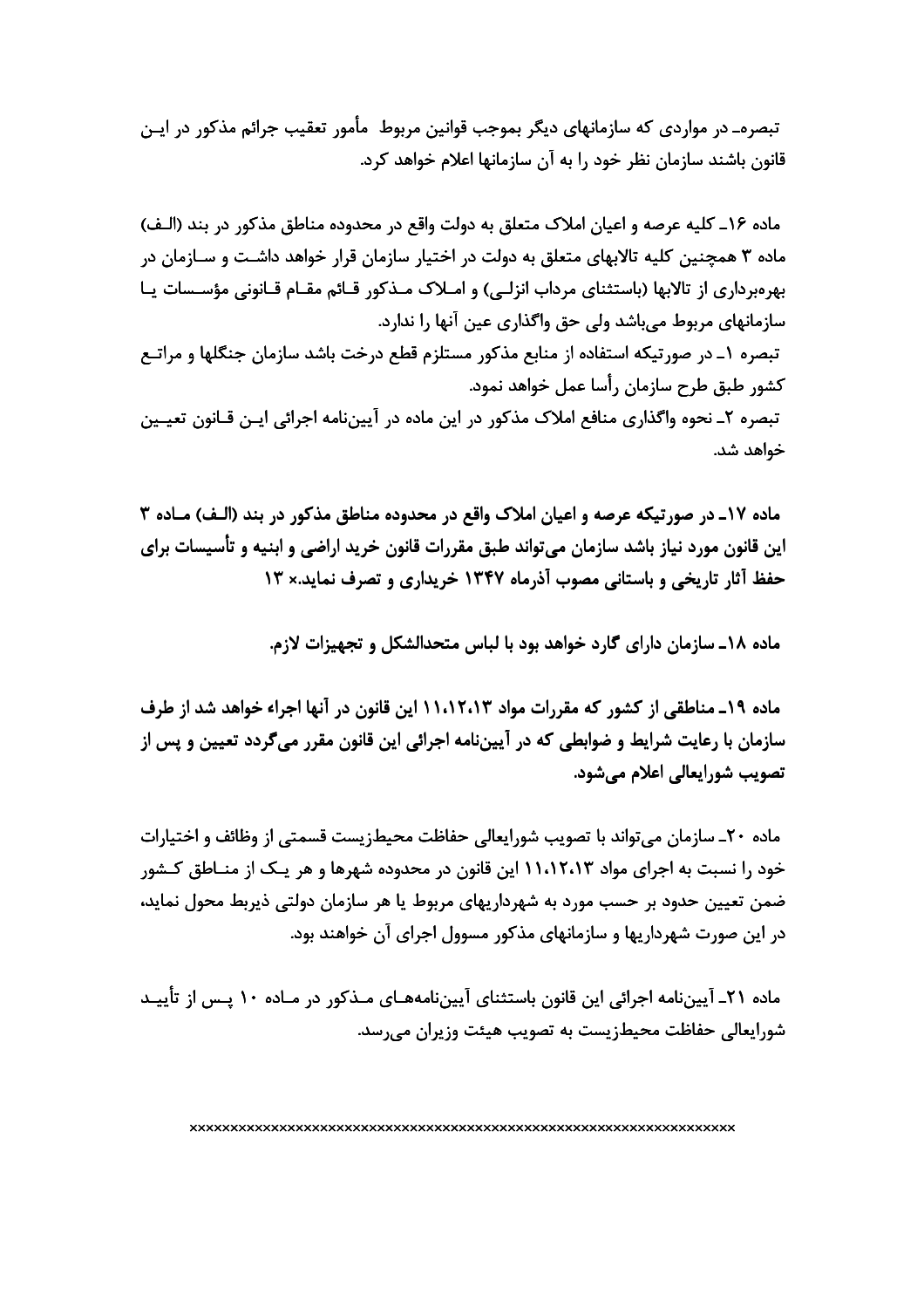تبصرهـ در مواردي كه سازمانهاي ديگر بموجب قوانين مربوط ٍ مأمور تعقيب جرائم مذكور در ايـن قانون باشند سازمان نظر خود را به آن سازمانها اعلام خواهد کرد.

ماده ۱۶ـ كليه عرصه و اعيان املاك متعلق به دولت واقع در محدوده مناطق مذكور در بند (الـف) ماده ۳ همچنین کلیه تالابهای متعلق به دولت در اختیار سازمان قرار خواهد داشـت و سـازمان در بھروبرداری از تالابھا (باستثنای مرداب انزلے) و امـلاک مـذکور قـائم مقـام قـانونی مؤسـسات پـا سازمانهای مربوط مے،باشد ولی حق واگذاری عین آنها را ندارد. تبصره ١ـ در صورتيكه استفاده از منابع مذكور مستلزم قطع درخت باشد سازمان جنگلها و مراتــع كشور طبق طرح سازمان رأسا عمل خواهد نمود. تبصره ٢ـ نحوه واگذاري منافع املاک مذکور در اين ماده در آييننامه اجرائي ايـن قــانون تعيــين خواهد شد.

ماده ١٧ـ در صورتيكه عرصه و اعيان املاك واقع در محدوده مناطق مذكور در بند (الـف) مـاده ٣ این قانون مورد نیاز باشد سازمان میتواند طبق مقررات قانون خرید اراضی و ابنیه و تأسیسات برای حفظ آثار تاریخی و باستانی مصوب آذرماه ۱۳۴۷ خریداری و تصرف نماید.× ۱۳

ماده ١٨ـ سازمان داراي گارد خواهد بود با لباس متحدالشكل و تحهیزات لازم.

ماده ۱۹\_ مناطقی از کشور که مقررات مواد ۱۱،۱۲،۱۳ این قانون در آنها اجراء خواهد شد از طرف سازمان با رعایت شرایط و ضوابطی که در آپیننامه اجرائی این قانون مقرر می گردد تعیین و پس از تصويب شورايعالى اعلام مىشود.

ماده ۲۰\_ سازمان میتواند با تصویب شورایعالی حفاظت محیطزیست قسمتی از وظائف و اختیارات خود را نسبت به اجرای مواد ۱۱،۱۲،۱۳ این قانون در محدوده شهرها و هر یـک از منــاطق کــشور ضمن تعیین حدود بر حسب مورد به شهرداریهای مربوط یا هر سازمان دولتی ذیربط محول نماید، در این صورت شهرداریها و سازمانهای مذکور مسوول اجرای آن خواهند بود.

ماده ۲۱ـ آییننامه اجرائی این قانون باستثنای آییننامههـای مـذکور در مـاده ۱۰ پـس از تأییـد شورایعالی حفاظت محیطزیست به تصویب هیئت وزیران می,رسد.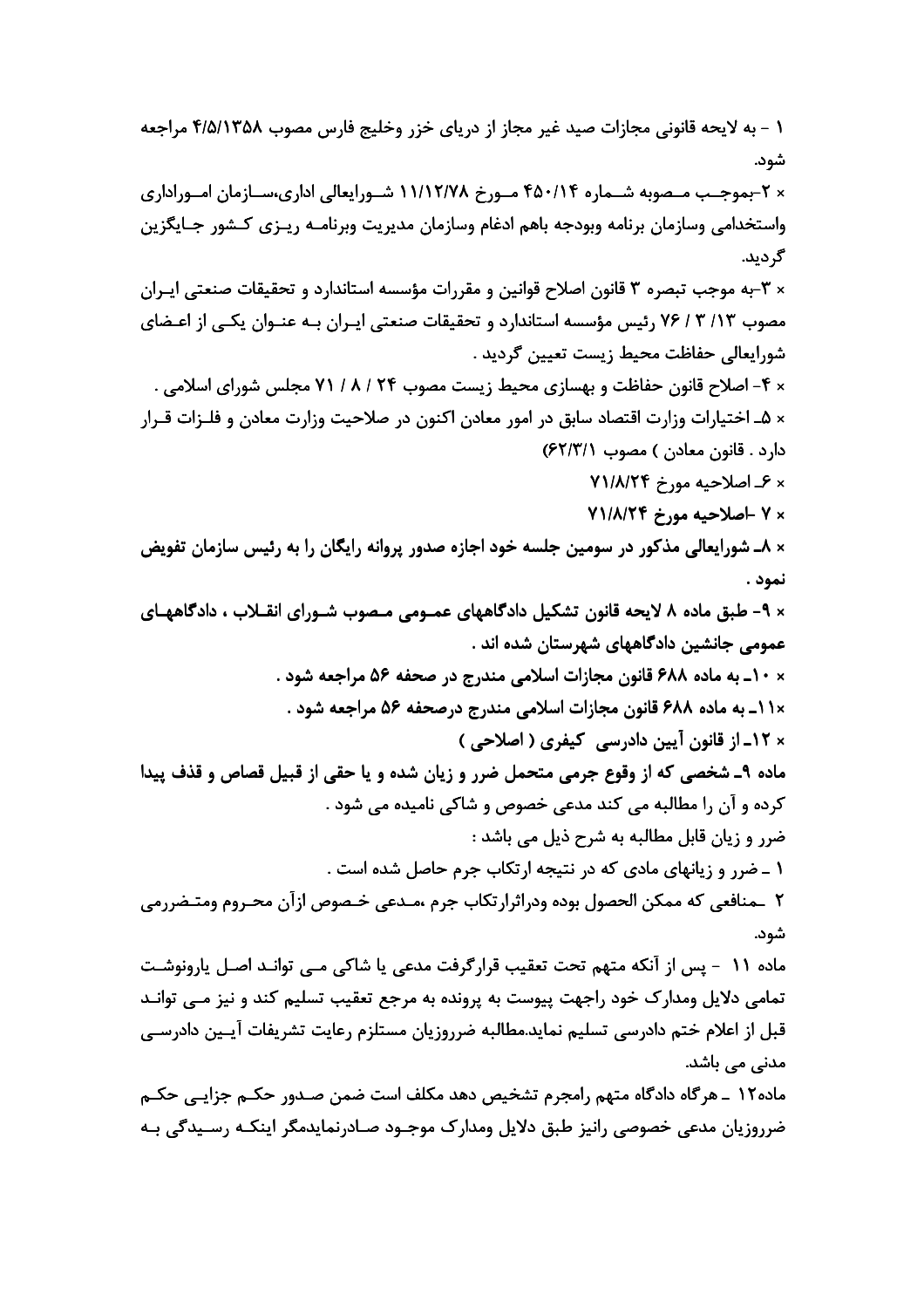١ - به لايحه قانوني مجازات صيد غير مجاز از درياي خزر وخليج فارس مصوب ٢/٥/١٣۵٨ مراجعه شود. × ۲-بموجـب مـصوبه شــماره ۴۵۰/۱۴ مــورخ ۱۱/۱۲/۷۸ شــورايعالي اداري،ســازمان امــوراداري واستخدامي وسازمان برنامه وبودجه باهم ادغام وسازمان مديريت وبرنامـه ريـزى كـشور جـايگزين گردید. × ۳-به موجب تبصره ۳ قانون اصلاح قوانین و مقررات مؤسسه استاندارد و تحقیقات صنعتی ایـران مصوب ۱۳/ ۳ / ۷۶ رئیس مؤسسه استاندارد و تحقیقات صنعتی ایـران بـه عنـوان یکـی از اعـضای شورايعالى حفاظت محيط زيست تعيين گرديد . × ۴- اصلاح قانون حفاظت و بهسازی محیط زیست مصوب ۲۴ / ۸ / ۷۱ مجلس شورای اسلامی . × ۵ـ اختیارات وزارت اقتصاد سابق در امور معادن اکنون در صلاحیت وزارت معادن و فلــزات قــرار دارد. قانون معادن) مصوب ۶۲/۳/۱) × ۶\_ اصلاحيه مورخ ۷۱/۸/۲۴ × ٧ -اصلاحيه مورخ ٧١/٨/٢۴ × ٨ـ شورايعالي مذكور در سومين جلسه خود اجازه صدور پروانه رايگان را به رئيس سازمان تفويض نمود . × ۹- طبق ماده ۸ لایحه قانون تشکیل دادگاههای عمـومی مـصوب شـورای انقـلاب ، دادگاههـای عمومی جانشین دادگاههای شهرستان شده اند . × ١٠\_ به ماده ۶۸۸ قانون مجازات اسلامي مندرج در صحفه ۵۶ مراجعه شود . × ۱۱\_ به ماده ۶۸۸ قانون مجازات اسلامی مندرج درصحفه ۵۶ مراجعه شود . × ١٢ـ از قانون آيين دادرسي کيفري ( اصلاحي ) ماده ۹\_ شخصی که از وقوع جرمی متحمل ضرر و زیان شده و یا حقی از قبیل قصاص و قذف پیدا کرده و آن را مطالبه می کند مدعی خصوص و شاکی نامیده می شود . ضرر و زيان قابل مطالبه به شرح ذيل مي باشد : ۱ ـ ضرر و زیانهای مادی که در نتیجه ارتکاب جرم حاصل شده است . ٢ ـمنافعي كه ممكن الحصول بوده ودراثرارتكاب جرم ،مـدعى خـصوص ازآن محـروم ومتـضررمي شود. مادہ ١١ - پس از آنكه متهم تحت تعقيب قرار گرفت مدعى يا شاكى مـى توانـد اصـل يارونوشـت تمامی دلایل ومدارک خود راجهت پیوست به پرونده به مرجع تعقیب تسلیم کند و نیز مـی توانـد قبل از اعلام ختم دادرسی تسلیم نماید.مطالبه ضرروزیان مستلزم رعایت تشریفات آپـین دادرسـی مدنے<sub>،</sub> مے<sub>،</sub> باشد. ماده١٢ ـ هر گاه دادگاه متهم رامجرم تشخیص دهد مکلف است ضمن صـدور حکــم جزایــی حکــم ضرروزیان مدعی خصوصی رانیز طبق دلایل ومدارک موجـود صـادرنمایدمگر اینکـه رسـیدگی بـه